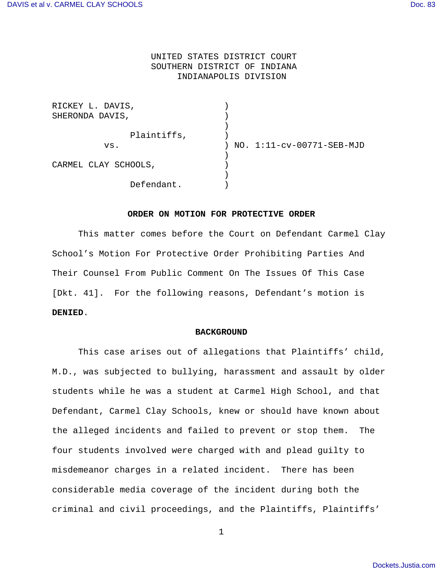# UNITED STATES DISTRICT COURT SOUTHERN DISTRICT OF INDIANA INDIANAPOLIS DIVISION

| RICKEY L. DAVIS,     |                           |
|----------------------|---------------------------|
| SHERONDA DAVIS,      |                           |
|                      |                           |
| Plaintiffs,          |                           |
| VS.                  | NO. 1:11-cv-00771-SEB-MJD |
|                      |                           |
| CARMEL CLAY SCHOOLS, |                           |
|                      |                           |
| Defendant.           |                           |

## **ORDER ON MOTION FOR PROTECTIVE ORDER**

 This matter comes before the Court on Defendant Carmel Clay School's Motion For Protective Order Prohibiting Parties And Their Counsel From Public Comment On The Issues Of This Case [Dkt. 41]. For the following reasons, Defendant's motion is **DENIED**.

#### **BACKGROUND**

 This case arises out of allegations that Plaintiffs' child, M.D., was subjected to bullying, harassment and assault by older students while he was a student at Carmel High School, and that Defendant, Carmel Clay Schools, knew or should have known about the alleged incidents and failed to prevent or stop them. The four students involved were charged with and plead guilty to misdemeanor charges in a related incident. There has been considerable media coverage of the incident during both the criminal and civil proceedings, and the Plaintiffs, Plaintiffs'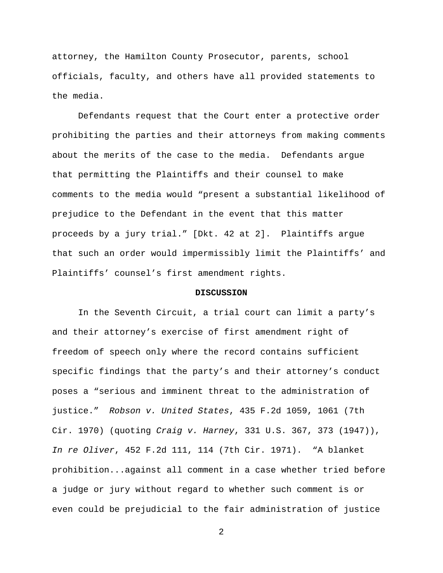attorney, the Hamilton County Prosecutor, parents, school officials, faculty, and others have all provided statements to the media.

 Defendants request that the Court enter a protective order prohibiting the parties and their attorneys from making comments about the merits of the case to the media. Defendants argue that permitting the Plaintiffs and their counsel to make comments to the media would "present a substantial likelihood of prejudice to the Defendant in the event that this matter proceeds by a jury trial." [Dkt. 42 at 2]. Plaintiffs argue that such an order would impermissibly limit the Plaintiffs' and Plaintiffs' counsel's first amendment rights.

### **DISCUSSION**

 In the Seventh Circuit, a trial court can limit a party's and their attorney's exercise of first amendment right of freedom of speech only where the record contains sufficient specific findings that the party's and their attorney's conduct poses a "serious and imminent threat to the administration of justice." Robson v. United States, 435 F.2d 1059, 1061 (7th Cir. 1970) (quoting Craig v. Harney, 331 U.S. 367, 373 (1947)), In re Oliver, 452 F.2d 111, 114 (7th Cir. 1971). "A blanket prohibition...against all comment in a case whether tried before a judge or jury without regard to whether such comment is or even could be prejudicial to the fair administration of justice

2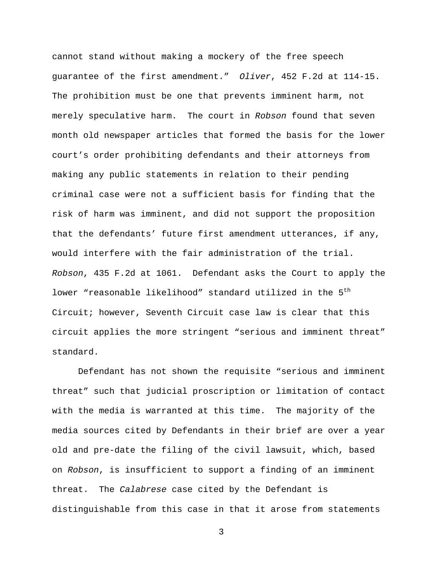cannot stand without making a mockery of the free speech guarantee of the first amendment." Oliver, 452 F.2d at 114-15. The prohibition must be one that prevents imminent harm, not merely speculative harm. The court in Robson found that seven month old newspaper articles that formed the basis for the lower court's order prohibiting defendants and their attorneys from making any public statements in relation to their pending criminal case were not a sufficient basis for finding that the risk of harm was imminent, and did not support the proposition that the defendants' future first amendment utterances, if any, would interfere with the fair administration of the trial. Robson, 435 F.2d at 1061. Defendant asks the Court to apply the lower "reasonable likelihood" standard utilized in the 5<sup>th</sup> Circuit; however, Seventh Circuit case law is clear that this circuit applies the more stringent "serious and imminent threat" standard.

 Defendant has not shown the requisite "serious and imminent threat" such that judicial proscription or limitation of contact with the media is warranted at this time. The majority of the media sources cited by Defendants in their brief are over a year old and pre-date the filing of the civil lawsuit, which, based on Robson, is insufficient to support a finding of an imminent threat. The Calabrese case cited by the Defendant is distinguishable from this case in that it arose from statements

3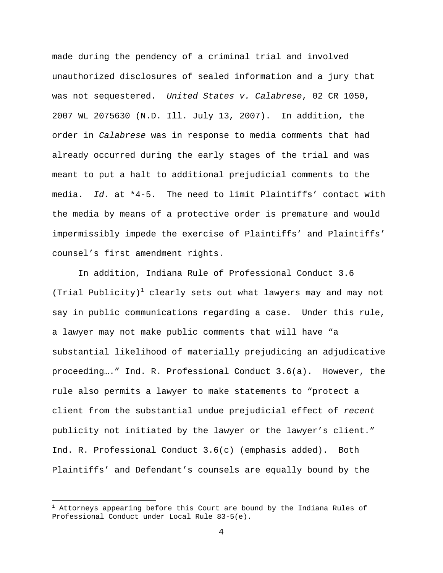made during the pendency of a criminal trial and involved unauthorized disclosures of sealed information and a jury that was not sequestered. United States v. Calabrese, 02 CR 1050, 2007 WL 2075630 (N.D. Ill. July 13, 2007). In addition, the order in Calabrese was in response to media comments that had already occurred during the early stages of the trial and was meant to put a halt to additional prejudicial comments to the media. Id. at \*4-5. The need to limit Plaintiffs' contact with the media by means of a protective order is premature and would impermissibly impede the exercise of Plaintiffs' and Plaintiffs' counsel's first amendment rights.

 In addition, Indiana Rule of Professional Conduct 3.6 (Trial Publicity)<sup>1</sup> clearly sets out what lawyers may and may not say in public communications regarding a case. Under this rule, a lawyer may not make public comments that will have "a substantial likelihood of materially prejudicing an adjudicative proceeding…." Ind. R. Professional Conduct 3.6(a). However, the rule also permits a lawyer to make statements to "protect a client from the substantial undue prejudicial effect of recent publicity not initiated by the lawyer or the lawyer's client." Ind. R. Professional Conduct 3.6(c) (emphasis added). Both Plaintiffs' and Defendant's counsels are equally bound by the

 $\overline{a}$ 

 $1$  Attorneys appearing before this Court are bound by the Indiana Rules of Professional Conduct under Local Rule 83-5(e).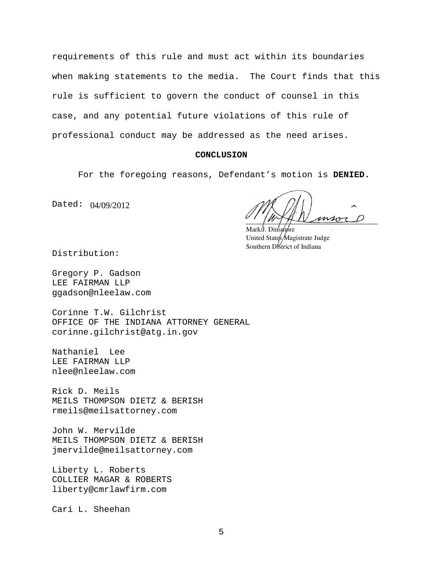requirements of this rule and must act within its boundaries when making statements to the media. The Court finds that this rule is sufficient to govern the conduct of counsel in this case, and any potential future violations of this rule of professional conduct may be addressed as the need arises.

### **CONCLUSION**

For the foregoing reasons, Defendant's motion is **DENIED.** 

Dated: 04/09/2012

ĺ

Mark<sup>/J</sup>. Dinsmore United States Magistrate Judge Southern District of Indiana

Distribution:

Gregory P. Gadson LEE FAIRMAN LLP ggadson@nleelaw.com

Corinne T.W. Gilchrist OFFICE OF THE INDIANA ATTORNEY GENERAL corinne.gilchrist@atg.in.gov

Nathaniel Lee LEE FAIRMAN LLP nlee@nleelaw.com

Rick D. Meils MEILS THOMPSON DIETZ & BERISH rmeils@meilsattorney.com

John W. Mervilde MEILS THOMPSON DIETZ & BERISH jmervilde@meilsattorney.com

Liberty L. Roberts COLLIER MAGAR & ROBERTS liberty@cmrlawfirm.com

Cari L. Sheehan